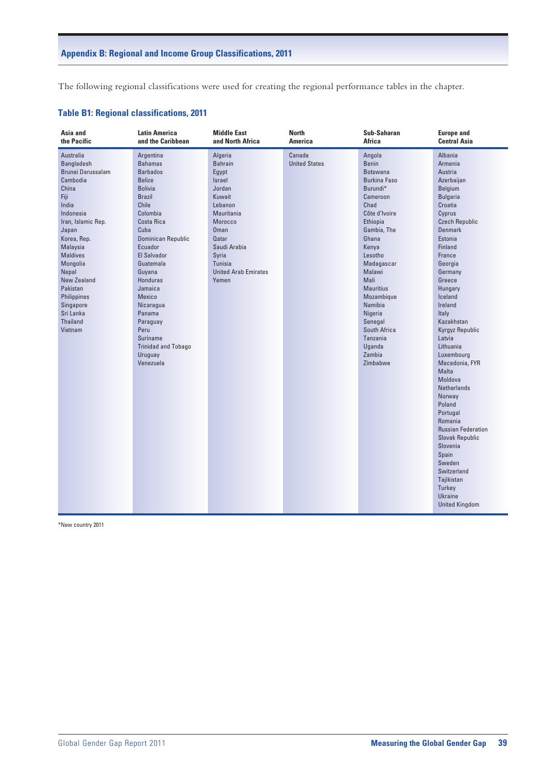## **Appendix B: Regional and Income Group Classifications, 2011**

The following regional classifications were used for creating the regional performance tables in the chapter.

## **Table B1: Regional classifications, 2011**

| Asia and                                                                                                                                                                                                                                                                                                   | <b>Latin America</b>                                                                                                                                                                                                                                                                                                                                                                           | <b>Middle East</b>                                                                                                                                                                                              | <b>North</b>                   | Sub-Saharan                                                                                                                                                                                                                                                                                                                       | <b>Europe and</b>                                                                                                                                                                                                                                                                                                                                                                                                                                                                                                                                                                                               |
|------------------------------------------------------------------------------------------------------------------------------------------------------------------------------------------------------------------------------------------------------------------------------------------------------------|------------------------------------------------------------------------------------------------------------------------------------------------------------------------------------------------------------------------------------------------------------------------------------------------------------------------------------------------------------------------------------------------|-----------------------------------------------------------------------------------------------------------------------------------------------------------------------------------------------------------------|--------------------------------|-----------------------------------------------------------------------------------------------------------------------------------------------------------------------------------------------------------------------------------------------------------------------------------------------------------------------------------|-----------------------------------------------------------------------------------------------------------------------------------------------------------------------------------------------------------------------------------------------------------------------------------------------------------------------------------------------------------------------------------------------------------------------------------------------------------------------------------------------------------------------------------------------------------------------------------------------------------------|
| the Pacific                                                                                                                                                                                                                                                                                                | and the Caribbean                                                                                                                                                                                                                                                                                                                                                                              | and North Africa                                                                                                                                                                                                | <b>America</b>                 | Africa                                                                                                                                                                                                                                                                                                                            | <b>Central Asia</b>                                                                                                                                                                                                                                                                                                                                                                                                                                                                                                                                                                                             |
| Australia<br>Bangladesh<br>Brunei Darussalam<br>Cambodia<br>China<br>Fiji<br>India<br>Indonesia<br>Iran, Islamic Rep.<br>Japan<br>Korea, Rep.<br>Malaysia<br><b>Maldives</b><br>Mongolia<br>Nepal<br><b>New Zealand</b><br>Pakistan<br>Philippines<br>Singapore<br>Sri Lanka<br><b>Thailand</b><br>Vietnam | Argentina<br><b>Bahamas</b><br><b>Barbados</b><br><b>Belize</b><br><b>Bolivia</b><br><b>Brazil</b><br>Chile<br>Colombia<br>Costa Rica<br>Cuba<br>Dominican Republic<br>Ecuador<br><b>El Salvador</b><br>Guatemala<br>Guyana<br><b>Honduras</b><br>Jamaica<br><b>Mexico</b><br>Nicaragua<br>Panama<br>Paraguay<br>Peru<br><b>Suriname</b><br><b>Trinidad and Tobago</b><br>Uruguay<br>Venezuela | Algeria<br><b>Bahrain</b><br>Egypt<br>Israel<br>Jordan<br>Kuwait<br>Lebanon<br>Mauritania<br>Morocco<br><b>Oman</b><br><b>Qatar</b><br>Saudi Arabia<br>Syria<br>Tunisia<br><b>United Arab Emirates</b><br>Yemen | Canada<br><b>United States</b> | Angola<br>Benin<br><b>Botswana</b><br><b>Burkina Faso</b><br>Burundi*<br>Cameroon<br>Chad<br>Côte d'Ivoire<br>Ethiopia<br>Gambia, The<br>Ghana<br>Kenya<br>Lesotho<br>Madagascar<br>Malawi<br>Mali<br><b>Mauritius</b><br>Mozambique<br>Namibia<br>Nigeria<br>Senegal<br>South Africa<br>Tanzania<br>Uganda<br>Zambia<br>Zimbabwe | Albania<br>Armenia<br>Austria<br>Azerbaijan<br>Belgium<br><b>Bulgaria</b><br>Croatia<br>Cyprus<br><b>Czech Republic</b><br><b>Denmark</b><br>Estonia<br>Finland<br>France<br>Georgia<br>Germany<br>Greece<br>Hungary<br>Iceland<br>Ireland<br>Italy<br>Kazakhstan<br>Kyrgyz Republic<br>Latvia<br>Lithuania<br>Luxembourg<br>Macedonia, FYR<br><b>Malta</b><br>Moldova<br><b>Netherlands</b><br>Norway<br>Poland<br>Portugal<br>Romania<br><b>Russian Federation</b><br><b>Slovak Republic</b><br>Slovenia<br>Spain<br>Sweden<br>Switzerland<br>Tajikistan<br>Turkey<br><b>Ukraine</b><br><b>United Kingdom</b> |

\*New country 2011